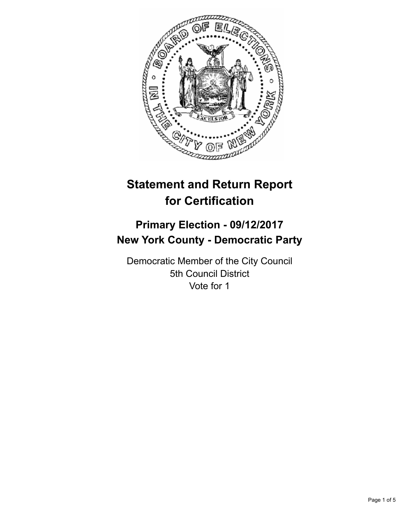

# **Statement and Return Report for Certification**

## **Primary Election - 09/12/2017 New York County - Democratic Party**

Democratic Member of the City Council 5th Council District Vote for 1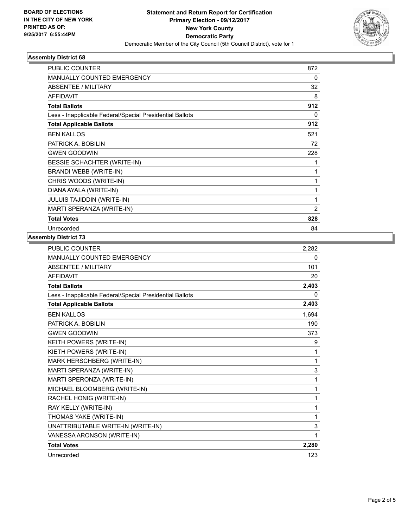

## **Assembly District 68**

| <b>PUBLIC COUNTER</b>                                    | 872          |
|----------------------------------------------------------|--------------|
| <b>MANUALLY COUNTED EMERGENCY</b>                        | 0            |
| <b>ABSENTEE / MILITARY</b>                               | 32           |
| <b>AFFIDAVIT</b>                                         | 8            |
| <b>Total Ballots</b>                                     | 912          |
| Less - Inapplicable Federal/Special Presidential Ballots | $\Omega$     |
| <b>Total Applicable Ballots</b>                          | 912          |
| <b>BEN KALLOS</b>                                        | 521          |
| PATRICK A. BOBILIN                                       | 72           |
| <b>GWEN GOODWIN</b>                                      | 228          |
| BESSIE SCHACHTER (WRITE-IN)                              | 1            |
| BRANDI WEBB (WRITE-IN)                                   | 1            |
| CHRIS WOODS (WRITE-IN)                                   | 1            |
| DIANA AYALA (WRITE-IN)                                   | 1            |
| <b>JULUIS TAJIDDIN (WRITE-IN)</b>                        | $\mathbf{1}$ |
| MARTI SPERANZA (WRITE-IN)                                | 2            |
| <b>Total Votes</b>                                       | 828          |
| Unrecorded                                               | 84           |

## **Assembly District 73**

| <b>PUBLIC COUNTER</b>                                    | 2,282       |
|----------------------------------------------------------|-------------|
| <b>MANUALLY COUNTED EMERGENCY</b>                        | 0           |
| <b>ABSENTEE / MILITARY</b>                               | 101         |
| <b>AFFIDAVIT</b>                                         | 20          |
| <b>Total Ballots</b>                                     | 2,403       |
| Less - Inapplicable Federal/Special Presidential Ballots | 0           |
| <b>Total Applicable Ballots</b>                          | 2,403       |
| <b>BEN KALLOS</b>                                        | 1,694       |
| PATRICK A. BOBILIN                                       | 190         |
| <b>GWEN GOODWIN</b>                                      | 373         |
| KEITH POWERS (WRITE-IN)                                  | 9           |
| KIETH POWERS (WRITE-IN)                                  | 1           |
| MARK HERSCHBERG (WRITE-IN)                               | 1           |
| MARTI SPERANZA (WRITE-IN)                                | 3           |
| MARTI SPERONZA (WRITE-IN)                                | 1           |
| MICHAEL BLOOMBERG (WRITE-IN)                             | 1           |
| RACHEL HONIG (WRITE-IN)                                  | 1           |
| RAY KELLY (WRITE-IN)                                     | 1           |
| THOMAS YAKE (WRITE-IN)                                   | 1           |
| UNATTRIBUTABLE WRITE-IN (WRITE-IN)                       | $\mathsf 3$ |
| VANESSA ARONSON (WRITE-IN)                               | 1           |
| <b>Total Votes</b>                                       | 2,280       |
| Unrecorded                                               | 123         |
|                                                          |             |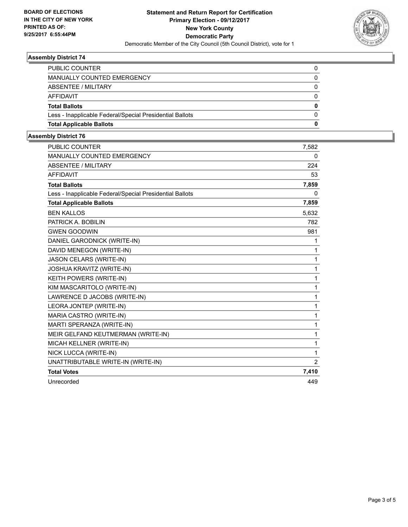

## **Assembly District 74**

| <b>PUBLIC COUNTER</b>                                    |   |
|----------------------------------------------------------|---|
| MANUALLY COUNTED EMERGENCY                               | 0 |
| ABSENTEE / MILITARY                                      | 0 |
| AFFIDAVIT                                                | 0 |
| <b>Total Ballots</b>                                     | 0 |
| Less - Inapplicable Federal/Special Presidential Ballots | 0 |
| <b>Total Applicable Ballots</b>                          | 0 |
|                                                          |   |

## **Assembly District 76**

| PUBLIC COUNTER                                           | 7,582          |
|----------------------------------------------------------|----------------|
| MANUALLY COUNTED EMERGENCY                               | 0              |
| <b>ABSENTEE / MILITARY</b>                               | 224            |
| <b>AFFIDAVIT</b>                                         | 53             |
| <b>Total Ballots</b>                                     | 7,859          |
| Less - Inapplicable Federal/Special Presidential Ballots | 0              |
| <b>Total Applicable Ballots</b>                          | 7,859          |
| <b>BEN KALLOS</b>                                        | 5,632          |
| PATRICK A. BOBILIN                                       | 782            |
| <b>GWEN GOODWIN</b>                                      | 981            |
| DANIEL GARODNICK (WRITE-IN)                              | 1              |
| DAVID MENEGON (WRITE-IN)                                 | 1              |
| <b>JASON CELARS (WRITE-IN)</b>                           | 1              |
| JOSHUA KRAVITZ (WRITE-IN)                                | 1              |
| KEITH POWERS (WRITE-IN)                                  | 1              |
| KIM MASCARITOLO (WRITE-IN)                               | 1              |
| LAWRENCE D JACOBS (WRITE-IN)                             | 1              |
| LEORA JONTEP (WRITE-IN)                                  | 1              |
| MARIA CASTRO (WRITE-IN)                                  | 1              |
| MARTI SPERANZA (WRITE-IN)                                | 1              |
| MEIR GELFAND KEUTMERMAN (WRITE-IN)                       | 1              |
| MICAH KELLNER (WRITE-IN)                                 | 1              |
| NICK LUCCA (WRITE-IN)                                    | 1              |
| UNATTRIBUTABLE WRITE-IN (WRITE-IN)                       | $\overline{2}$ |
| <b>Total Votes</b>                                       | 7,410          |
| Unrecorded                                               | 449            |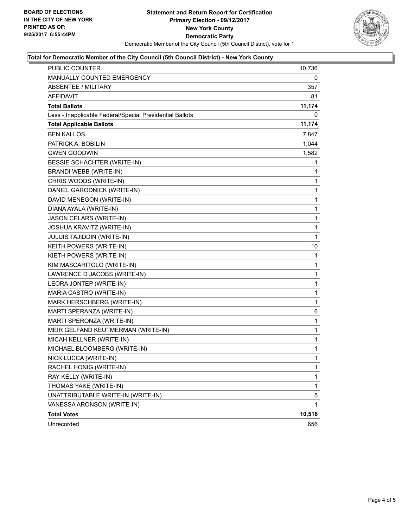

## **Total for Democratic Member of the City Council (5th Council District) - New York County**

| PUBLIC COUNTER                                           | 10,736       |
|----------------------------------------------------------|--------------|
| MANUALLY COUNTED EMERGENCY                               | 0            |
| ABSENTEE / MILITARY                                      | 357          |
| AFFIDAVIT                                                | 81           |
| <b>Total Ballots</b>                                     | 11,174       |
| Less - Inapplicable Federal/Special Presidential Ballots | 0            |
| <b>Total Applicable Ballots</b>                          | 11,174       |
| <b>BEN KALLOS</b>                                        | 7,847        |
| PATRICK A. BOBILIN                                       | 1,044        |
| <b>GWEN GOODWIN</b>                                      | 1,582        |
| BESSIE SCHACHTER (WRITE-IN)                              | 1            |
| <b>BRANDI WEBB (WRITE-IN)</b>                            | 1            |
| CHRIS WOODS (WRITE-IN)                                   | 1            |
| DANIEL GARODNICK (WRITE-IN)                              | 1            |
| DAVID MENEGON (WRITE-IN)                                 | 1            |
| DIANA AYALA (WRITE-IN)                                   | 1            |
| JASON CELARS (WRITE-IN)                                  | $\mathbf{1}$ |
| <b>JOSHUA KRAVITZ (WRITE-IN)</b>                         | 1            |
| JULUIS TAJIDDIN (WRITE-IN)                               | 1            |
| KEITH POWERS (WRITE-IN)                                  | 10           |
| KIETH POWERS (WRITE-IN)                                  | 1            |
| KIM MASCARITOLO (WRITE-IN)                               | 1            |
| LAWRENCE D JACOBS (WRITE-IN)                             | $\mathbf{1}$ |
| LEORA JONTEP (WRITE-IN)                                  | 1            |
| MARIA CASTRO (WRITE-IN)                                  | 1            |
| MARK HERSCHBERG (WRITE-IN)                               | $\mathbf{1}$ |
| MARTI SPERANZA (WRITE-IN)                                | 6            |
| MARTI SPERONZA (WRITE-IN)                                | 1            |
| MEIR GELFAND KEUTMERMAN (WRITE-IN)                       | 1            |
| MICAH KELLNER (WRITE-IN)                                 | 1            |
| MICHAEL BLOOMBERG (WRITE-IN)                             | 1            |
| NICK LUCCA (WRITE-IN)                                    | $\mathbf{1}$ |
| RACHEL HONIG (WRITE-IN)                                  | 1            |
| RAY KELLY (WRITE-IN)                                     | 1            |
| THOMAS YAKE (WRITE-IN)                                   | $\mathbf{1}$ |
| UNATTRIBUTABLE WRITE-IN (WRITE-IN)                       | 5            |
| VANESSA ARONSON (WRITE-IN)                               | 1            |
| <b>Total Votes</b>                                       | 10,518       |
| Unrecorded                                               | 656          |